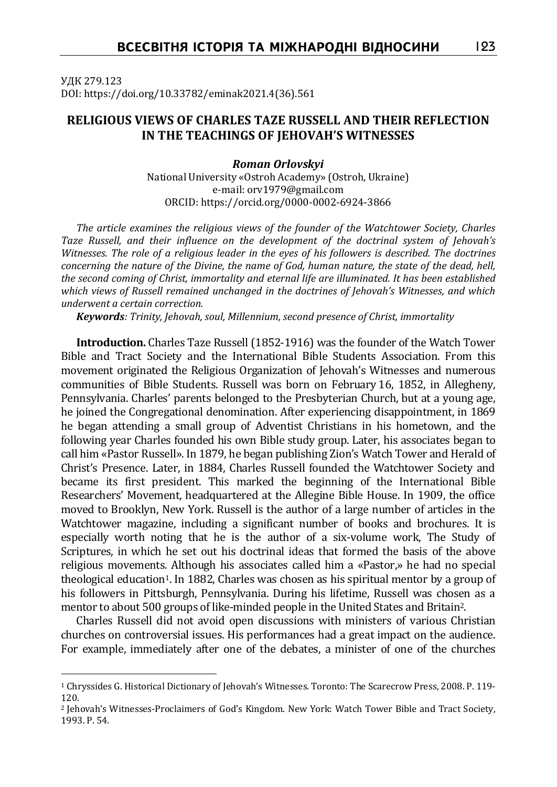УДК 279.123 DOI: https://doi.org/10.33782/eminak2021.4(36).561

## **RELIGIOUS VIEWS OF CHARLES TAZE RUSSELL AND THEIR REFLECTION IN THE TEACHINGS OF JEHOVAH'S WITNESSES**

*Roman Orlovskyi* National University «Ostroh Academy» (Ostroh, Ukraine) e-mail: orv1979@gmail.com ORCID: https://orcid.org/0000-0002-6924-3866

*The article examines the religious views of the founder of the Watchtower Society, Charles Taze Russell, and their influence on the development of the doctrinal system of Jehovah's Witnesses. The role of a religious leader in the eyes of his followers is described. The doctrines concerning the nature of the Divine, the name of God, human nature, the state of the dead, hell, the second coming of Christ, immortality and eternal life are illuminated. It has been established which views of Russell remained unchanged in the doctrines of Jehovah's Witnesses, and which underwent a certain correction.*

*Keywords: Trinity, Jehovah, soul, Millennium, second presence of Christ, immortality*

**Introduction.** Charles Taze Russell (1852-1916) was the founder of the Watch Tower Bible and Tract Society and the International Bible Students Association. From this movement originated the Religious Organization of Jehovah's Witnesses and numerous communities of Bible Students. Russell was born on February 16, 1852, in Allegheny, Pennsylvania. Charles' parents belonged to the Presbyterian Church, but at a young age, he joined the Congregational denomination. After experiencing disappointment, in 1869 he began attending a small group of Adventist Christians in his hometown, and the following year Charles founded his own Bible study group. Later, his associates began to call him «Pastor Russell». In 1879, he began publishing Zion's Watch Tower and Herald of Christ's Presence. Later, in 1884, Charles Russell founded the Watchtower Society and became its first president. This marked the beginning of the International Bible Researchers' Movement, headquartered at the Allegine Bible House. In 1909, the office moved to Brooklyn, New York. Russell is the author of a large number of articles in the Watchtower magazine, including a significant number of books and brochures. It is especially worth noting that he is the author of a six-volume work, The Study of Scriptures, in which he set out his doctrinal ideas that formed the basis of the above religious movements. Although his associates called him a «Pastor,» he had no special theological education<sup>1</sup>. In 1882, Charles was chosen as his spiritual mentor by a group of his followers in Pittsburgh, Pennsylvania. During his lifetime, Russell was chosen as a mentor to about 500 groups of like-minded people in the United States and Britain2.

Charles Russell did not avoid open discussions with ministers of various Christian churches on controversial issues. His performances had a great impact on the audience. For example, immediately after one of the debates, a minister of one of the churches

<sup>1</sup> Chryssides G. Historical Dictionary of Jehovah's Witnesses. Toronto: The Scarecrow Press, 2008. P. 119- 120.

<sup>2</sup> Jehovah's Witnesses-Proclaimers of God's Kingdom. New York: Watch Tower Bible and Tract Society, 1993. P. 54.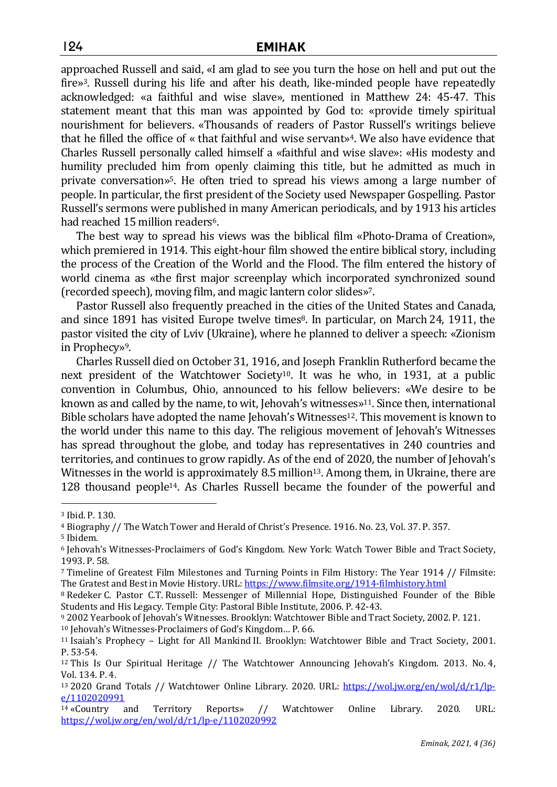approached Russell and said, «I am glad to see you turn the hose on hell and put out the fire»3. Russell during his life and after his death, like-minded people have repeatedly acknowledged: «a faithful and wise slave», mentioned in Matthew 24: 45-47. This statement meant that this man was appointed by God to: «provide timely spiritual nourishment for believers. «Thousands of readers of Pastor Russell's writings believe that he filled the office of « that faithful and wise servant»4. We also have evidence that Charles Russell personally called himself a «faithful and wise slave»: «His modesty and humility precluded him from openly claiming this title, but he admitted as much in private conversation»5. He often tried to spread his views among a large number of people. In particular, the first president of the Society used Newspaper Gospelling. Pastor Russell's sermons were published in many American periodicals, and by 1913 his articles had reached 15 million readers<sup>6</sup>.

The best way to spread his views was the biblical film «Photo-Drama of Creation», which premiered in 1914. This eight-hour film showed the entire biblical story, including the process of the Creation of the World and the Flood. The film entered the history of world cinema as «the first major screenplay which incorporated synchronized sound (recorded speech), moving film, and magic lantern color slides»7.

Pastor Russell also frequently preached in the cities of the United States and Canada, and since 1891 has visited Europe twelve times<sup>8</sup>. In particular, on March 24, 1911, the pastor visited the city of Lviv (Ukraine), where he planned to deliver a speech: «Zionism in Prophecy»9.

Charles Russell died on October 31, 1916, and Joseph Franklin Rutherford became the next president of the Watchtower Society<sup>10</sup>. It was he who, in 1931, at a public convention in Columbus, Ohio, announced to his fellow believers: «We desire to be known as and called by the name, to wit, Jehovah's witnesses $\mathbf{S}^{11}$ . Since then, international Bible scholars have adopted the name Jehovah's Witnesses<sup>12</sup>. This movement is known to the world under this name to this day. The religious movement of Jehovah's Witnesses has spread throughout the globe, and today has representatives in 240 countries and territories, and continues to grow rapidly. As of the end of 2020, the number of Jehovah's Witnesses in the world is approximately 8.5 million<sup>13</sup>. Among them, in Ukraine, there are 128 thousand people14. As Charles Russell became the founder of the powerful and

<sup>3</sup> Ibid. P. 130.

<sup>4</sup> Biography // The Watch Tower and Herald of Christ's Presence. 1916. No. 23, Vol. 37. P. 357.

<sup>5</sup> Ibidem.

<sup>6</sup> Jehovah's Witnesses-Proclaimers of God's Kingdom. New York: Watch Tower Bible and Tract Society, 1993. P. 58.

<sup>7</sup> Timeline of Greatest Film Milestones and Turning Points in Film History: The Year 1914 // Filmsite: The Gratest and Best in Movie History. URL: https://www.filmsite.org/1914-filmhistory.html

<sup>8</sup> Redeker C. Pastor C.T. Russell: Messenger of Millennial Hope, Distinguished Founder of the Bible Students and His Legacy. Temple City: Pastoral Bible Institute, 2006. P. 42-43.

<sup>9</sup> 2002 Yearbook of Jehovah's Witnesses. Brooklyn: Watchtower Bible and Tract Society, 2002. P. 121.

<sup>10</sup> Jehovah's Witnesses-Proclaimers of God's Kingdom… P. 66.

<sup>11</sup> Isaiah's Prophecy – Light for All Mankind II. Brooklyn: Watchtower Bible and Tract Society, 2001. P. 53-54.

<sup>&</sup>lt;sup>12</sup> This Is Our Spiritual Heritage // The Watchtower Announcing Jehovah's Kingdom. 2013. No. 4, Vol. 134. P. 4.

<sup>&</sup>lt;sup>13</sup> 2020 Grand Totals // Watchtower Online Library. 2020. URL: https://wol.jw.org/en/wol/d/r1/lpe/1102020991

<sup>14</sup> «Country and Territory Reports» // Watchtower Online Library. 2020. URL: https://wol.jw.org/en/wol/d/r1/lp-e/1102020992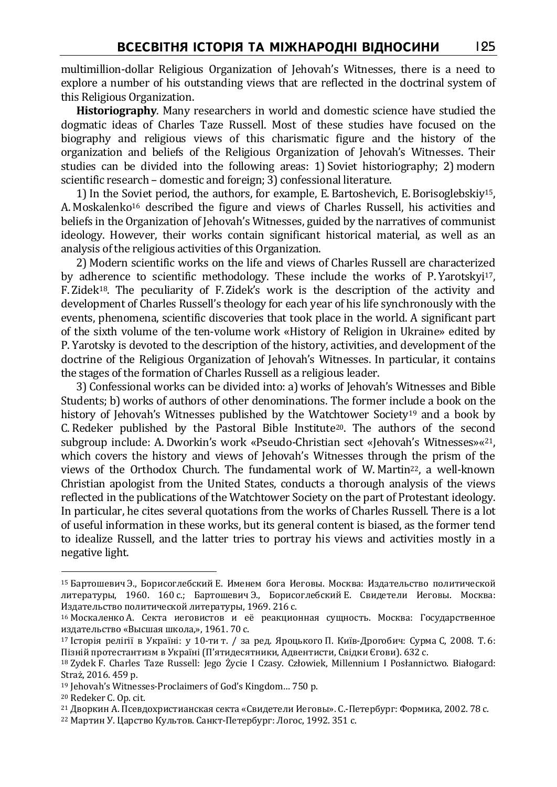multimillion-dollar Religious Organization of Jehovah's Witnesses, there is a need to explore a number of his outstanding views that are reflected in the doctrinal system of this Religious Organization.

**Historiography**. Many researchers in world and domestic science have studied the dogmatic ideas of Charles Taze Russell. Most of these studies have focused on the biography and religious views of this charismatic figure and the history of the organization and beliefs of the Religious Organization of Jehovah's Witnesses. Their studies can be divided into the following areas: 1) Soviet historiography; 2) modern scientific research – domestic and foreign; 3) confessional literature.

1)In the Soviet period, the authors, for example, E. Bartoshevich, E. Borisoglebskiy15, A. Moskalenko16 described the figure and views of Charles Russell, his activities and beliefs in the Organization of Jehovah's Witnesses, guided by the narratives of communist ideology. However, their works contain significant historical material, as well as an analysis of the religious activities of this Organization.

2) Modern scientific works on the life and views of Charles Russell are characterized by adherence to scientific methodology. These include the works of P. Yarotskyi17, F. Zidek18. The peculiarity of F. Zidek's work is the description of the activity and development of Charles Russell's theology for each year of his life synchronously with the events, phenomena, scientific discoveries that took place in the world. A significant part of the sixth volume of the ten-volume work «History of Religion in Ukraine» edited by P. Yarotsky is devoted to the description of the history, activities, and development of the doctrine of the Religious Organization of Jehovah's Witnesses. In particular, it contains the stages of the formation of Charles Russell as a religious leader.

3) Confessional works can be divided into: a) works of Jehovah's Witnesses and Bible Students; b) works of authors of other denominations. The former include a book on the history of Jehovah's Witnesses published by the Watchtower Society<sup>19</sup> and a book by C. Redeker published by the Pastoral Bible Institute<sup>20</sup>. The authors of the second subgroup include: A. Dworkin's work «Pseudo-Christian sect «Jehovah's Witnesses»«21, which covers the history and views of Jehovah's Witnesses through the prism of the views of the Orthodox Church. The fundamental work of W. Martin22, a well-known Christian apologist from the United States, conducts a thorough analysis of the views reflected in the publications of the Watchtower Society on the part of Protestant ideology. In particular, he cites several quotations from the works of Charles Russell. There is a lot of useful information in these works, but its general content is biased, as the former tend to idealize Russell, and the latter tries to portray his views and activities mostly in a negative light.

<sup>15</sup> Бартошевич Э., Борисоглебский Е. Именем бога Иеговы. Москва: Издательство политической литературы, 1960. 160 с.; Бартошевич Э., Борисоглебский Е. Свидетели Иеговы. Москва: Издательство политической литературы, 1969. 216 с.

<sup>16</sup> Москаленко А. Секта иеговистов и её реакционная сущность. Москва: Государственное издательство «Высшая школа,», 1961. 70 с.

<sup>17</sup> Історія релігії в Україні: у 10-ти т. / за ред. Яроцького П. Київ-Дрогобич: Сурма С, 2008. T. 6: Пізній протестантизм в Україні (П'ятидесятники, Адвентисти, Свідки Єгови). 632 с.

<sup>18</sup> Zydek F. Charles Taze Russell: Jego Życie I Czasy. Człowiek, Millennium I Posłannictwo. Białogard: Straż, 2016. 459 p.

<sup>19</sup> Jehovah's Witnesses-Proclaimers of God's Kingdom… 750 р.

<sup>20</sup> Redeker C. Op. cit.

<sup>21</sup> Дворкин А. Псевдохристианская секта «Свидетели Иеговы». С.-Петербург: Формика, 2002. 78 с.

<sup>22</sup> Мартин У. Царство Культов. Санкт-Петербург: Логос, 1992. 351 с.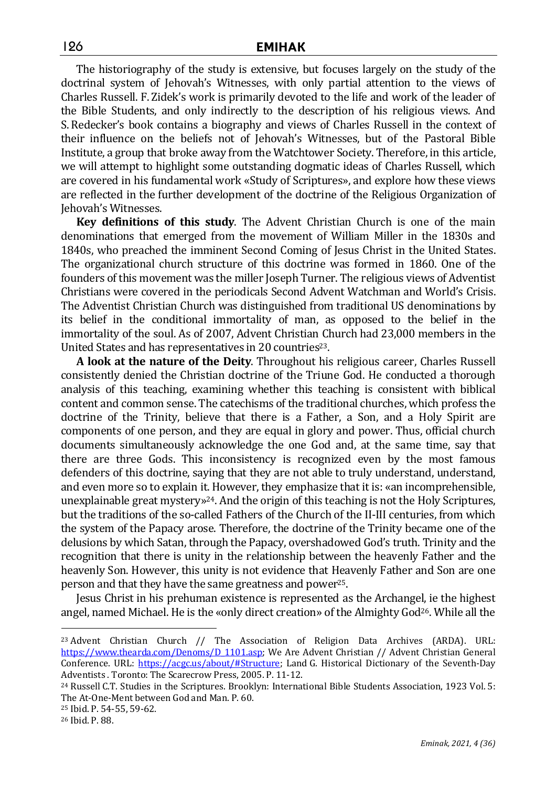The historiography of the study is extensive, but focuses largely on the study of the doctrinal system of Jehovah's Witnesses, with only partial attention to the views of Charles Russell. F. Zidek's work is primarily devoted to the life and work of the leader of the Bible Students, and only indirectly to the description of his religious views. And S. Redecker's book contains a biography and views of Charles Russell in the context of their influence on the beliefs not of Jehovah's Witnesses, but of the Pastoral Bible Institute, a group that broke away from the Watchtower Society. Therefore, in this article, we will attempt to highlight some outstanding dogmatic ideas of Charles Russell, which are covered in his fundamental work «Study of Scriptures», and explore how these views are reflected in the further development of the doctrine of the Religious Organization of Jehovah's Witnesses.

**Key definitions of this study**. The Advent Christian Church is one of the main denominations that emerged from the movement of William Miller in the 1830s and 1840s, who preached the imminent Second Coming of Jesus Christ in the United States. The organizational church structure of this doctrine was formed in 1860. One of the founders of this movement was the miller Joseph Turner. The religious views of Adventist Christians were covered in the periodicals Second Advent Watchman and World's Crisis. The Adventist Christian Church was distinguished from traditional US denominations by its belief in the conditional immortality of man, as opposed to the belief in the immortality of the soul. As of 2007, Advent Christian Church had 23,000 members in the United States and has representatives in 20 countries<sup>23</sup>.

**A look at the nature of the Deity**. Throughout his religious career, Charles Russell consistently denied the Christian doctrine of the Triune God. He conducted a thorough analysis of this teaching, examining whether this teaching is consistent with biblical content and common sense. The catechisms of the traditional churches, which profess the doctrine of the Trinity, believe that there is a Father, a Son, and a Holy Spirit are components of one person, and they are equal in glory and power. Thus, official church documents simultaneously acknowledge the one God and, at the same time, say that there are three Gods. This inconsistency is recognized even by the most famous defenders of this doctrine, saying that they are not able to truly understand, understand, and even more so to explain it. However, they emphasize that it is: «an incomprehensible, unexplainable great mystery»<sup>24</sup>. And the origin of this teaching is not the Holy Scriptures, but the traditions of the so-called Fathers of the Church of the II-III centuries, from which the system of the Papacy arose. Therefore, the doctrine of the Trinity became one of the delusions by which Satan, through the Papacy, overshadowed God's truth. Trinity and the recognition that there is unity in the relationship between the heavenly Father and the heavenly Son. However, this unity is not evidence that Heavenly Father and Son are one person and that they have the same greatness and power25.

Jesus Christ in his prehuman existence is represented as the Archangel, ie the highest angel, named Michael. He is the «only direct creation» of the Almighty God<sup>26</sup>. While all the

<sup>23</sup> Advent Christian Church // The Association of Religion Data Archives (ARDA). URL: https://www.thearda.com/Denoms/D 1101.asp; We Are Advent Christian // Advent Christian General Conference. URL: https://acgc.us/about/#Structure; Land G. Historical Dictionary of the Seventh-Day Adventists . Toronto: The Scarecrow Press, 2005. P. 11-12.

<sup>24</sup> Russell C.T. Studies in the Scriptures. Brooklyn: International Bible Students Association, 1923 Vol. 5: The At-One-Ment between God and Man. P. 60.

<sup>25</sup> Ibid. P. 54-55, 59-62.

<sup>26</sup> Ibid. P. 88.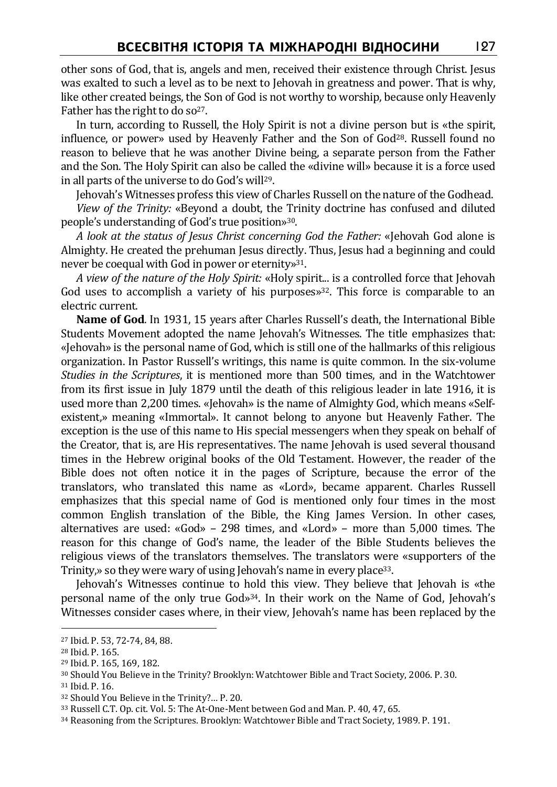other sons of God, that is, angels and men, received their existence through Christ. Jesus was exalted to such a level as to be next to Jehovah in greatness and power. That is why, like other created beings, the Son of God is not worthy to worship, because only Heavenly Father has the right to do so<sup>27</sup>.

In turn, according to Russell, the Holy Spirit is not a divine person but is «the spirit, influence, or power» used by Heavenly Father and the Son of God28. Russell found no reason to believe that he was another Divine being, a separate person from the Father and the Son. The Holy Spirit can also be called the «divine will» because it is a force used in all parts of the universe to do God's will29.

Jehovah's Witnesses profess this view of Charles Russell on the nature of the Godhead. *View of the Trinity:* «Beyond a doubt, the Trinity doctrine has confused and diluted people's understanding of God's true position»30.

*A look at the status of Jesus Christ concerning God the Father:* «Jehovah God alone is Almighty. He created the prehuman Jesus directly. Thus, Jesus had a beginning and could never be coequal with God in power or eternity»31.

*A view of the nature of the Holy Spirit:* «Holy spirit... is a controlled force that Jehovah God uses to accomplish a variety of his purposes $x^{32}$ . This force is comparable to an electric current.

**Name of God**. In 1931, 15 years after Charles Russell's death, the International Bible Students Movement adopted the name Jehovah's Witnesses. The title emphasizes that: «Jehovah» is the personal name of God, which is still one of the hallmarks of this religious organization. In Pastor Russell's writings, this name is quite common. In the six-volume *Studies in the Scriptures*, it is mentioned more than 500 times, and in the Watchtower from its first issue in July 1879 until the death of this religious leader in late 1916, it is used more than 2,200 times. «Jehovah» is the name of Almighty God, which means «Selfexistent,» meaning «Immortal». It cannot belong to anyone but Heavenly Father. The exception is the use of this name to His special messengers when they speak on behalf of the Creator, that is, are His representatives. The name Jehovah is used several thousand times in the Hebrew original books of the Old Testament. However, the reader of the Bible does not often notice it in the pages of Scripture, because the error of the translators, who translated this name as «Lord», became apparent. Charles Russell emphasizes that this special name of God is mentioned only four times in the most common English translation of the Bible, the King James Version. In other cases, alternatives are used: «God» – 298 times, and «Lord» – more than 5,000 times. The reason for this change of God's name, the leader of the Bible Students believes the religious views of the translators themselves. The translators were «supporters of the Trinity,» so they were wary of using Jehovah's name in every place<sup>33</sup>.

Jehovah's Witnesses continue to hold this view. They believe that Jehovah is «the personal name of the only true God»34. In their work on the Name of God, Jehovah's Witnesses consider cases where, in their view, Jehovah's name has been replaced by the

<sup>27</sup> Ibid. P. 53, 72-74, 84, 88.

<sup>28</sup> Ibid. P. 165.

<sup>29</sup> Ibid. P. 165, 169, 182.

<sup>30</sup> Should You Believe in the Trinity? Brooklyn: Watchtower Bible and Tract Society, 2006. P. 30.

<sup>31</sup> Ibid. P. 16.

<sup>32</sup> Should You Believe in the Trinity?… P. 20.

<sup>33</sup> Russell C.T. Op. cit. Vol. 5: The At-One-Ment between God and Man. P. 40, 47, 65.

<sup>34</sup> Reasoning from the Scriptures. Brooklyn: Watchtower Bible and Tract Society, 1989. P. 191.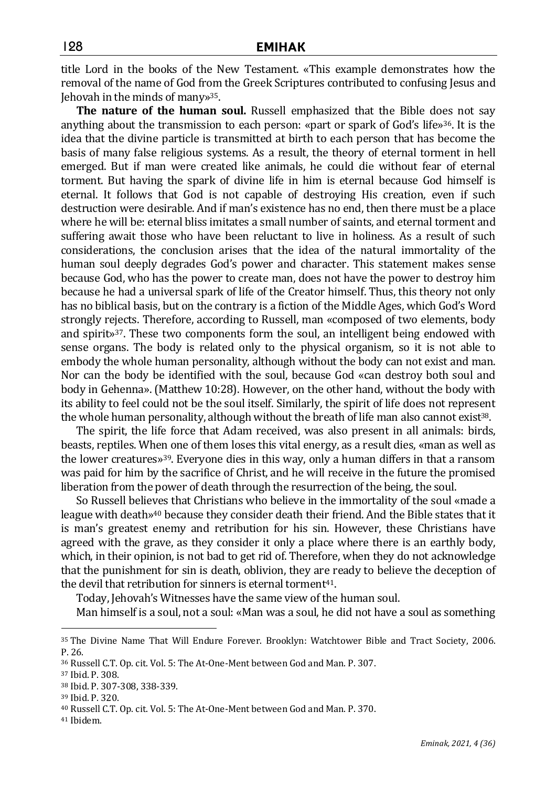title Lord in the books of the New Testament. «This example demonstrates how the removal of the name of God from the Greek Scriptures contributed to confusing Jesus and Jehovah in the minds of many»35.

**The nature of the human soul.** Russell emphasized that the Bible does not say anything about the transmission to each person: «part or spark of God's life»<sup>36</sup>. It is the idea that the divine particle is transmitted at birth to each person that has become the basis of many false religious systems. As a result, the theory of eternal torment in hell emerged. But if man were created like animals, he could die without fear of eternal torment. But having the spark of divine life in him is eternal because God himself is eternal. It follows that God is not capable of destroying His creation, even if such destruction were desirable. And if man's existence has no end, then there must be a place where he will be: eternal bliss imitates a small number of saints, and eternal torment and suffering await those who have been reluctant to live in holiness. As a result of such considerations, the conclusion arises that the idea of the natural immortality of the human soul deeply degrades God's power and character. This statement makes sense because God, who has the power to create man, does not have the power to destroy him because he had a universal spark of life of the Creator himself. Thus, this theory not only has no biblical basis, but on the contrary is a fiction of the Middle Ages, which God's Word strongly rejects. Therefore, according to Russell, man «composed of two elements, body and spirit»37. These two components form the soul, an intelligent being endowed with sense organs. The body is related only to the physical organism, so it is not able to embody the whole human personality, although without the body can not exist and man. Nor can the body be identified with the soul, because God «can destroy both soul and body in Gehenna». (Matthew 10:28). However, on the other hand, without the body with its ability to feel could not be the soul itself. Similarly, the spirit of life does not represent the whole human personality, although without the breath of life man also cannot exist<sup>38</sup>.

The spirit, the life force that Adam received, was also present in all animals: birds, beasts, reptiles. When one of them loses this vital energy, as a result dies, «man as well as the lower creatures»39. Everyone dies in this way, only a human differs in that a ransom was paid for him by the sacrifice of Christ, and he will receive in the future the promised liberation from the power of death through the resurrection of the being, the soul.

So Russell believes that Christians who believe in the immortality of the soul «made a league with death»40 because they consider death their friend. And the Bible states that it is man's greatest enemy and retribution for his sin. However, these Christians have agreed with the grave, as they consider it only a place where there is an earthly body, which, in their opinion, is not bad to get rid of. Therefore, when they do not acknowledge that the punishment for sin is death, oblivion, they are ready to believe the deception of the devil that retribution for sinners is eternal torment41.

Today, Jehovah's Witnesses have the same view of the human soul.

Man himself is a soul, not a soul: «Man was a soul, he did not have a soul as something

<sup>35</sup> The Divine Name That Will Endure Forever. Brooklyn: Watchtower Bible and Tract Society, 2006. P. 26.

<sup>36</sup> Russell C.T. Op. cit. Vol. 5: The At-One-Ment between God and Man. P. 307.

<sup>37</sup> Ibid. P. 308.

<sup>38</sup> Ibid. P. 307-308, 338-339.

<sup>39</sup> Ibid. P. 320.

<sup>40</sup> Russell C.T. Op. cit. Vol. 5: The At-One-Ment between God and Man. P. 370.

<sup>41</sup> Ibidem.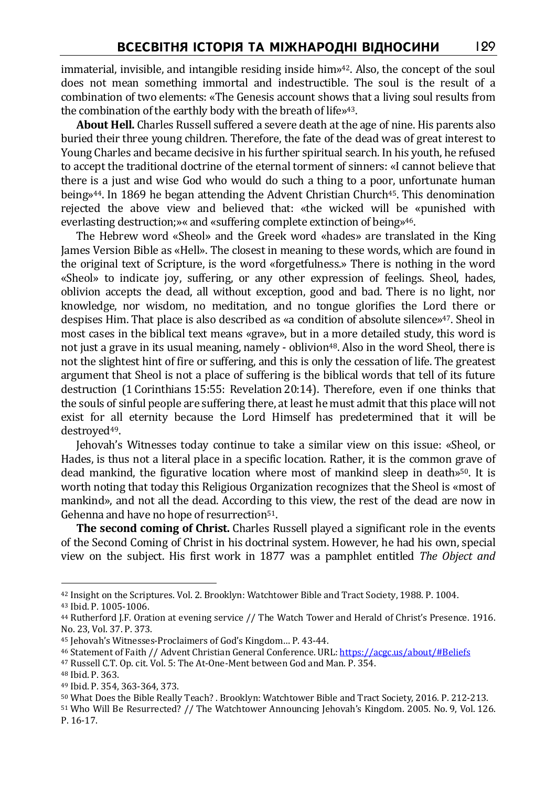immaterial, invisible, and intangible residing inside him»42. Also, the concept of the soul does not mean something immortal and indestructible. The soul is the result of a combination of two elements: «The Genesis account shows that a living soul results from the combination of the earthly body with the breath of life»43.

**About Hell.** Charles Russell suffered a severe death at the age of nine. His parents also buried their three young children. Therefore, the fate of the dead was of great interest to Young Charles and became decisive in his further spiritual search. In his youth, he refused to accept the traditional doctrine of the eternal torment of sinners: «I cannot believe that there is a just and wise God who would do such a thing to a poor, unfortunate human being»<sup>44</sup>. In 1869 he began attending the Advent Christian Church<sup>45</sup>. This denomination rejected the above view and believed that: «the wicked will be «punished with everlasting destruction;»« and «suffering complete extinction of being»46.

The Hebrew word «Sheol» and the Greek word «hades» are translated in the King James Version Bible as «Hell». The closest in meaning to these words, which are found in the original text of Scripture, is the word «forgetfulness.» There is nothing in the word «Sheol» to indicate joy, suffering, or any other expression of feelings. Sheol, hades, oblivion accepts the dead, all without exception, good and bad. There is no light, nor knowledge, nor wisdom, no meditation, and no tongue glorifies the Lord there or despises Him. That place is also described as «a condition of absolute silence»47. Sheol in most cases in the biblical text means «grave», but in a more detailed study, this word is not just a grave in its usual meaning, namely - oblivion<sup>48</sup>. Also in the word Sheol, there is not the slightest hint of fire or suffering, and this is only the cessation of life. The greatest argument that Sheol is not a place of suffering is the biblical words that tell of its future destruction (1 Corinthians 15:55: Revelation 20:14). Therefore, even if one thinks that the souls of sinful people are suffering there, at least he must admit that this place will not exist for all eternity because the Lord Himself has predetermined that it will be destroyed49.

Jehovah's Witnesses today continue to take a similar view on this issue: «Sheol, or Hades, is thus not a literal place in a specific location. Rather, it is the common grave of dead mankind, the figurative location where most of mankind sleep in death»50. It is worth noting that today this Religious Organization recognizes that the Sheol is «most of mankind», and not all the dead. According to this view, the rest of the dead are now in Gehenna and have no hope of resurrection<sup>51</sup>.

**The second coming of Christ.** Charles Russell played a significant role in the events of the Second Coming of Christ in his doctrinal system. However, he had his own, special view on the subject. His first work in 1877 was a pamphlet entitled *The Object and* 

<sup>42</sup> Insight on the Scriptures. Vol. 2. Brooklyn: Watchtower Bible and Tract Society, 1988. P. 1004.

<sup>43</sup> Ibid. P. 1005-1006.

<sup>44</sup> Rutherford J.F. Oration at evening service // The Watch Tower and Herald of Christ's Presence. 1916. No. 23, Vol. 37. P. 373.

<sup>45</sup> Jehovah's Witnesses-Proclaimers of God's Kingdom… P. 43-44.

<sup>46</sup> Statement of Faith // Advent Christian General Conference. URL: https://acgc.us/about/#Beliefs

<sup>47</sup> Russell C.T. Op. cit. Vol. 5: The At-One-Ment between God and Man. P. 354.

<sup>48</sup> Ibid. P. 363.

<sup>49</sup> Ibid. P. 354, 363-364, 373.

<sup>50</sup> What Does the Bible Really Teach? . Brooklyn: Watchtower Bible and Tract Society, 2016. P. 212-213.

<sup>51</sup> Who Will Be Resurrected? // The Watchtower Announcing Jehovah's Kingdom. 2005. No. 9, Vol. 126. P. 16-17.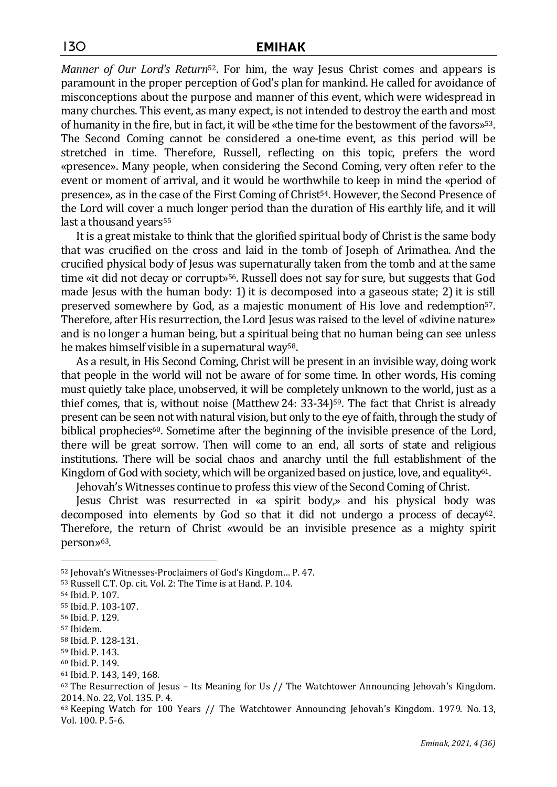*Manner of Our Lord's Return*52. For him, the way Jesus Christ comes and appears is paramount in the proper perception of God's plan for mankind. He called for avoidance of misconceptions about the purpose and manner of this event, which were widespread in many churches. This event, as many expect, is not intended to destroy the earth and most of humanity in the fire, but in fact, it will be «the time for the bestowment of the favors»53. The Second Coming cannot be considered a one-time event, as this period will be stretched in time. Therefore, Russell, reflecting on this topic, prefers the word «presence». Many people, when considering the Second Coming, very often refer to the event or moment of arrival, and it would be worthwhile to keep in mind the «period of presence», as in the case of the First Coming of Christ<sup>54</sup>. However, the Second Presence of the Lord will cover a much longer period than the duration of His earthly life, and it will last a thousand years<sup>55</sup>

It is a great mistake to think that the glorified spiritual body of Christ is the same body that was crucified on the cross and laid in the tomb of Joseph of Arimathea. And the crucified physical body of Jesus was supernaturally taken from the tomb and at the same time «it did not decay or corrupt»56. Russell does not say for sure, but suggests that God made Jesus with the human body: 1) it is decomposed into a gaseous state; 2) it is still preserved somewhere by God, as a majestic monument of His love and redemption57. Therefore, after His resurrection, the Lord Jesus was raised to the level of «divine nature» and is no longer a human being, but a spiritual being that no human being can see unless he makes himself visible in a supernatural way<sup>58</sup>.

As a result, in His Second Coming, Christ will be present in an invisible way, doing work that people in the world will not be aware of for some time. In other words, His coming must quietly take place, unobserved, it will be completely unknown to the world, just as a thief comes, that is, without noise (Matthew 24: 33-34)<sup>59</sup>. The fact that Christ is already present can be seen not with natural vision, but only to the eye of faith, through the study of biblical prophecies<sup>60</sup>. Sometime after the beginning of the invisible presence of the Lord, there will be great sorrow. Then will come to an end, all sorts of state and religious institutions. There will be social chaos and anarchy until the full establishment of the Kingdom of God with society, which will be organized based on justice, love, and equality<sup>61</sup>.

Jehovah's Witnesses continue to profess this view of the Second Coming of Christ.

Jesus Christ was resurrected in «a spirit body,» and his physical body was decomposed into elements by God so that it did not undergo a process of decay<sup>62</sup>. Therefore, the return of Christ «would be an invisible presence as a mighty spirit person»<sup>63</sup>.

<sup>52</sup> Jehovah's Witnesses-Proclaimers of God's Kingdom… P. 47.

<sup>53</sup> Russell C.T. Op. cit. Vol. 2: The Time is at Hand. P. 104.

<sup>54</sup> Ibid. P. 107.

<sup>55</sup> Ibid. P. 103-107.

<sup>56</sup> Ibid. P. 129.

<sup>57</sup> Ibidem.

<sup>58</sup> Ibid. P. 128-131.

<sup>59</sup> Ibid. P. 143.

<sup>60</sup> Ibid. P. 149.

<sup>61</sup> Ibid. P. 143, 149, 168.

 $62$  The Resurrection of Jesus – Its Meaning for Us // The Watchtower Announcing Jehovah's Kingdom. 2014. No. 22, Vol. 135. P. 4.

<sup>63</sup> Keeping Watch for 100 Years // The Watchtower Announcing Jehovah's Kingdom. 1979. No. 13, Vol. 100. P. 5-6.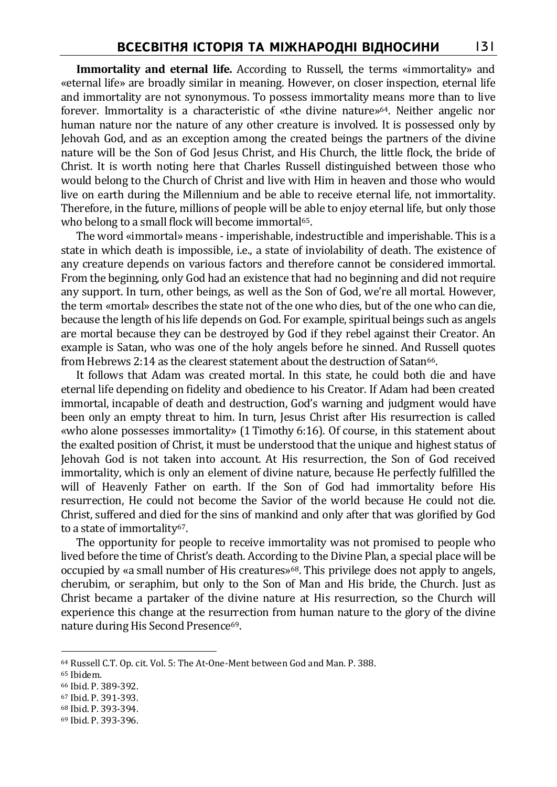**Immortality and eternal life.** According to Russell, the terms «immortality» and «eternal life» are broadly similar in meaning. However, on closer inspection, eternal life and immortality are not synonymous. To possess immortality means more than to live forever. Immortality is a characteristic of «the divine nature»64. Neither angelic nor human nature nor the nature of any other creature is involved. It is possessed only by Jehovah God, and as an exception among the created beings the partners of the divine nature will be the Son of God Jesus Christ, and His Church, the little flock, the bride of Christ. It is worth noting here that Charles Russell distinguished between those who would belong to the Church of Christ and live with Him in heaven and those who would live on earth during the Millennium and be able to receive eternal life, not immortality. Therefore, in the future, millions of people will be able to enjoy eternal life, but only those who belong to a small flock will become immortal<sup>65</sup>.

The word «immortal» means - imperishable, indestructible and imperishable. This is a state in which death is impossible, i.e., a state of inviolability of death. The existence of any creature depends on various factors and therefore cannot be considered immortal. From the beginning, only God had an existence that had no beginning and did not require any support. In turn, other beings, as well as the Son of God, we're all mortal. However, the term «mortal» describes the state not of the one who dies, but of the one who can die, because the length of his life depends on God. For example, spiritual beings such as angels are mortal because they can be destroyed by God if they rebel against their Creator. An example is Satan, who was one of the holy angels before he sinned. And Russell quotes from Hebrews 2:14 as the clearest statement about the destruction of Satan<sup>66</sup>.

It follows that Adam was created mortal. In this state, he could both die and have eternal life depending on fidelity and obedience to his Creator. If Adam had been created immortal, incapable of death and destruction, God's warning and judgment would have been only an empty threat to him. In turn, Jesus Christ after His resurrection is called «who alone possesses immortality» (1 Timothy 6:16). Of course, in this statement about the exalted position of Christ, it must be understood that the unique and highest status of Jehovah God is not taken into account. At His resurrection, the Son of God received immortality, which is only an element of divine nature, because He perfectly fulfilled the will of Heavenly Father on earth. If the Son of God had immortality before His resurrection, He could not become the Savior of the world because He could not die. Christ, suffered and died for the sins of mankind and only after that was glorified by God to a state of immortality<sup>67</sup>.

The opportunity for people to receive immortality was not promised to people who lived before the time of Christ's death. According to the Divine Plan, a special place will be occupied by «a small number of His creatures»68. This privilege does not apply to angels, cherubim, or seraphim, but only to the Son of Man and His bride, the Church. Just as Christ became a partaker of the divine nature at His resurrection, so the Church will experience this change at the resurrection from human nature to the glory of the divine nature during His Second Presence<sup>69</sup>.

<sup>64</sup> Russell C.T. Op. cit. Vol. 5: The At-One-Ment between God and Man. P. 388.

<sup>65</sup> Ibidem.

<sup>66</sup> Ibid. P. 389-392.

<sup>67</sup> Ibid. P. 391-393.

<sup>68</sup> Ibid. P. 393-394.

<sup>69</sup> Ibid. P. 393-396.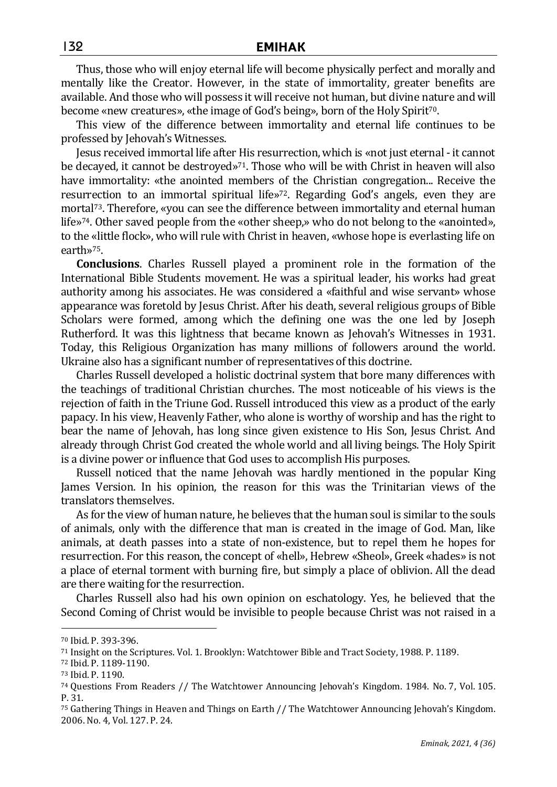Thus, those who will enjoy eternal life will become physically perfect and morally and mentally like the Creator. However, in the state of immortality, greater benefits are available. And those who will possess it will receive not human, but divine nature and will become «new creatures», «the image of God's being», born of the Holy Spirit70.

This view of the difference between immortality and eternal life continues to be professed by Jehovah's Witnesses.

Jesus received immortal life after His resurrection, which is «not just eternal - it cannot be decayed, it cannot be destroyed $v^{71}$ . Those who will be with Christ in heaven will also have immortality: «the anointed members of the Christian congregation... Receive the resurrection to an immortal spiritual life»72. Regarding God's angels, even they are mortal<sup>73</sup>. Therefore, «you can see the difference between immortality and eternal human life»74. Other saved people from the «other sheep,» who do not belong to the «anointed», to the «little flock», who will rule with Christ in heaven, «whose hope is everlasting life on earth»75.

**Conclusions**. Charles Russell played a prominent role in the formation of the International Bible Students movement. He was a spiritual leader, his works had great authority among his associates. He was considered a «faithful and wise servant» whose appearance was foretold by Jesus Christ. After his death, several religious groups of Bible Scholars were formed, among which the defining one was the one led by Joseph Rutherford. It was this lightness that became known as Jehovah's Witnesses in 1931. Today, this Religious Organization has many millions of followers around the world. Ukraine also has a significant number of representatives of this doctrine.

Charles Russell developed a holistic doctrinal system that bore many differences with the teachings of traditional Christian churches. The most noticeable of his views is the rejection of faith in the Triune God. Russell introduced this view as a product of the early papacy. In his view, Heavenly Father, who alone is worthy of worship and has the right to bear the name of Jehovah, has long since given existence to His Son, Jesus Christ. And already through Christ God created the whole world and all living beings. The Holy Spirit is a divine power or influence that God uses to accomplish His purposes.

Russell noticed that the name Jehovah was hardly mentioned in the popular King James Version. In his opinion, the reason for this was the Trinitarian views of the translators themselves.

As for the view of human nature, he believes that the human soul is similar to the souls of animals, only with the difference that man is created in the image of God. Man, like animals, at death passes into a state of non-existence, but to repel them he hopes for resurrection. For this reason, the concept of «hell», Hebrew «Sheol», Greek «hades» is not a place of eternal torment with burning fire, but simply a place of oblivion. All the dead are there waiting for the resurrection.

Charles Russell also had his own opinion on eschatology. Yes, he believed that the Second Coming of Christ would be invisible to people because Christ was not raised in a

<sup>70</sup> Ibid. P. 393-396.

<sup>71</sup> Insight on the Scriptures. Vol. 1. Brooklyn: Watchtower Bible and Tract Society, 1988. P. 1189.

<sup>72</sup> Ibid. P. 1189-1190.

<sup>73</sup> Ibid. P. 1190.

<sup>74</sup> Questions From Readers // The Watchtower Announcing Jehovah's Kingdom. 1984. No. 7, Vol. 105. P. 31.

<sup>75</sup> Gathering Things in Heaven and Things on Earth // The Watchtower Announcing Jehovah's Kingdom. 2006. No. 4, Vol. 127. P. 24.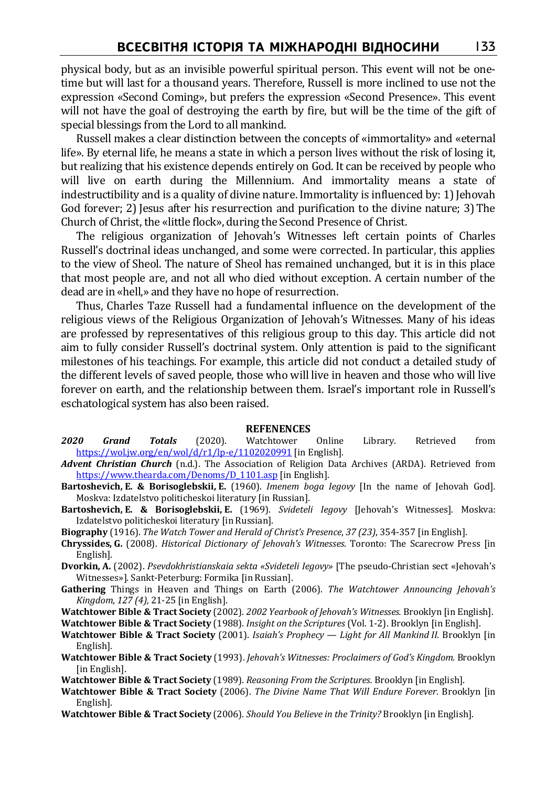physical body, but as an invisible powerful spiritual person. This event will not be onetime but will last for a thousand years. Therefore, Russell is more inclined to use not the expression «Second Coming», but prefers the expression «Second Presence». This event will not have the goal of destroying the earth by fire, but will be the time of the gift of special blessings from the Lord to all mankind.

Russell makes a clear distinction between the concepts of «immortality» and «eternal life». By eternal life, he means a state in which a person lives without the risk of losing it, but realizing that his existence depends entirely on God. It can be received by people who will live on earth during the Millennium. And immortality means a state of indestructibility and is a quality of divine nature. Immortality is influenced by: 1) Jehovah God forever; 2) Jesus after his resurrection and purification to the divine nature; 3) The Church of Christ, the «little flock», during the Second Presence of Christ.

The religious organization of Jehovah's Witnesses left certain points of Charles Russell's doctrinal ideas unchanged, and some were corrected. In particular, this applies to the view of Sheol. The nature of Sheol has remained unchanged, but it is in this place that most people are, and not all who died without exception. A certain number of the dead are in «hell,» and they have no hope of resurrection.

Thus, Charles Taze Russell had a fundamental influence on the development of the religious views of the Religious Organization of Jehovah's Witnesses. Many of his ideas are professed by representatives of this religious group to this day. This article did not aim to fully consider Russell's doctrinal system. Only attention is paid to the significant milestones of his teachings. For example, this article did not conduct a detailed study of the different levels of saved people, those who will live in heaven and those who will live forever on earth, and the relationship between them. Israel's important role in Russell's eschatological system has also been raised.

## **REFENENCES**

- *2020 Grand Totals* (2020). Watchtower Online Library. Retrieved from https://wol.jw.org/en/wol/d/r1/lp-e/1102020991 [in English].
- *Advent Christian Church* (n.d.). The Association of Religion Data Archives (ARDA). Retrieved from https://www.thearda.com/Denoms/D\_1101.asp [in English].
- **Bartoshevich, E. & Borisoglebskii, E.** (1960). *Imenem boga Iegovy* [In the name of Jehovah God]*.* Moskva: Izdatelstvo politicheskoi literatury [in Russian].
- **Bartoshevich, E. & Borisoglebskii, E.** (1969). *Svideteli Iegovy* [Jehovah's Witnesses]*.* Moskva: Izdatelstvo politicheskoi literatury [in Russian].
- **Biography** (1916). *The Watch Tower and Herald of Christ's Presence*, *37 (23)*, 354-357 [in English].
- **Chryssides, G.** (2008). *Historical Dictionary of Jehovah's Witnesses*. Toronto: The Scarecrow Press [in English].
- **Dvorkin, A.** (2002). *Psevdokhristianskaia sekta «Svideteli Iegovy»* [The pseudo-Christian sect «Jehovah's Witnesses»]*.* Sankt-Peterburg: Formika [in Russian].
- **Gathering** Things in Heaven and Things on Earth (2006). *The Watchtower Announcing Jehovah's Kingdom*, *127 (4),* 21-25 [in English].
- **Watchtower Bible & Tract Society** (2002). *2002 Yearbook of Jehovah's Witnesses.* Brooklyn [in English].

**Watchtower Bible & Tract Society** (1988). *Insight on the Scriptures* (Vol. 1-2). Brooklyn [in English].

- **Watchtower Bible & Tract Society** (2001). *Isaiah's Prophecy Light for All Mankind II.* Brooklyn [in English].
- **Watchtower Bible & Tract Society** (1993). *Jehovah's Witnesses: Proclaimers of God's Kingdom.* Brooklyn [in English].
- **Watchtower Bible & Tract Society** (1989). *Reasoning From the Scriptures.* Brooklyn [in English].
- **Watchtower Bible & Tract Society** (2006). *The Divine Name That Will Endure Forever*. Brooklyn [in English].
- **Watchtower Bible & Tract Society** (2006). *Should You Believe in the Trinity?* Brooklyn [in English].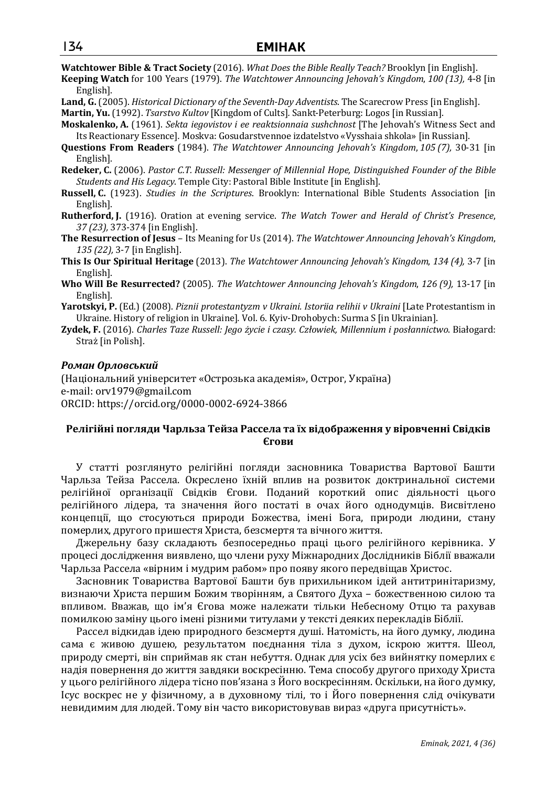**Watchtower Bible & Tract Society** (2016). *What Does the Bible Really Teach?* Brooklyn [in English].

- **Keeping Watch** for 100 Years (1979). *The Watchtower Announcing Jehovah's Kingdom*, *100 (13),* 4-8 [in English].
- **Land, G.** (2005). *Historical Dictionary of the Seventh-Day Adventists*. The Scarecrow Press [in English].

**Martin, Yu.**(1992). *Tsarstvo Kultov* [Kingdom of Cults]*.* Sankt-Peterburg: Logos [in Russian].

- **Moskalenko, A.** (1961). *Sekta iegovistov i ee reaktsionnaia sushchnost* [The Jehovah's Witness Sect and Its Reactionary Essence]*.* Moskva: Gosudarstvennoe izdatelstvo «Vysshaia shkola» [in Russian].
- **Questions From Readers** (1984). *The Watchtower Announcing Jehovah's Kingdom*, *105 (7),* 30-31 [in English].
- **Redeker, C.** (2006). *Pastor C.T. Russell: Messenger of Millennial Hope, Distinguished Founder of the Bible Students and His Legacy*. Temple City: Pastoral Bible Institute [in English].
- **Russell, C.** (1923). *Studies in the Scriptures*. Brooklyn: International Bible Students Association [in English].
- **Rutherford, J.** (1916). Oration at evening service. *The Watch Tower and Herald of Christ's Presence*, *37 (23),* 373-374 [in English].
- **The Resurrection of Jesus** Its Meaning for Us (2014). *The Watchtower Announcing Jehovah's Kingdom*, *135 (22),* 3-7 [in English].
- **This Is Our Spiritual Heritage** (2013). *The Watchtower Announcing Jehovah's Kingdom*, *134 (4),* 3-7 [in English].
- **Who Will Be Resurrected?** (2005). *The Watchtower Announcing Jehovah's Kingdom*, *126 (9),* 13-17 [in English].
- **Yarotskyi, P.** (Ed.) (2008). *Piznii protestantyzm v Ukraini. Istoriia relihii v Ukraini* [Late Protestantism in Ukraine. History of religion in Ukraine]*.* Vol. 6. Kyiv-Drohobych: Surma S [in Ukrainian].
- **Zydek, F.** (2016). *Charles Taze Russell: Jego życie i czasy. Człowiek, Millennium i posłannictwo*. Białogard: Straż [in Polish].

## *Роман Орловський*

(Національний університет «Острозька академія», Острог, Україна) e-mail: orv1979@gmail.com ORCID: https://orcid.org/0000-0002-6924-3866

## **Релігійні погляди Чарльза Тейза Рассела та їх відображення у віровченні Свідків Єгови**

У статті розглянуто релігійні погляди засновника Товариства Вартової Башти Чарльза Тейза Рассела. Окреслено їхній вплив на розвиток доктринальної системи релігійної організації Свідків Єгови. Поданий короткий опис діяльності цього релігійного лідера, та значення його постаті в очах його однодумців. Висвітлено концепції, що стосуються природи Божества, імені Бога, природи людини, стану померлих, другого пришестя Христа, безсмертя та вічного життя.

Джерельну базу складають безпосередньо праці цього релігійного керівника. У процесі дослідження виявлено, що члени руху Міжнародних Дослідників Біблії вважали Чарльза Рассела «вірним і мудрим рабом» про появу якого передвіщав Христос.

Засновник Товариства Вартової Башти був прихильником ідей антитринітаризму, визнаючи Христа першим Божим творінням, а Святого Духа – божественною силою та впливом. Вважав, що ім'я Єгова може належати тільки Небесному Отцю та рахував помилкою заміну цього імені різними титулами у тексті деяких перекладів Біблії.

Рассел відкидав ідею природного безсмертя душі. Натомість, на його думку, людина сама є живою душею, результатом поєднання тіла з духом, іскрою життя. Шеол, природу смерті, він сприймав як стан небуття. Однак для усіх без вийнятку померлих є надія повернення до життя завдяки воскресінню. Тема способу другого приходу Христа у цього релігійного лідера тісно пов'язана з Його воскресінням. Оскільки, на його думку, Ісус воскрес не у фізичному, а в духовному тілі, то і Його повернення слід очікувати невидимим для людей. Тому він часто використовував вираз «друга присутність».